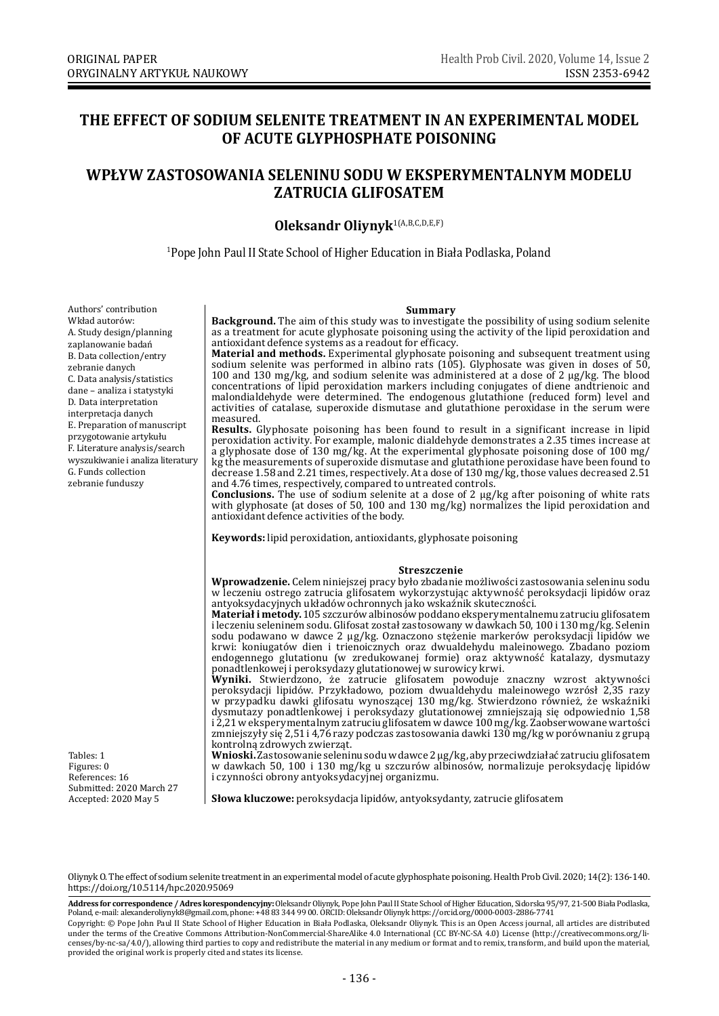# **THE EFFECT OF SODIUM SELENITE TREATMENT IN AN EXPERIMENTAL MODEL OF ACUTE GLYPHOSPHATE POISONING**

# **WPŁYW ZASTOSOWANIA SELENINU SODU W EKSPERYMENTALNYM MODELU ZATRUCIA GLIFOSATEM**

## **Oleksandr Oliynyk**1(A,B,C,D,E,F)

1 Pope John Paul II State School of Higher Education in Biała Podlaska, Poland

Authors' contribution Wkład autorów: A. Study design/planning zaplanowanie badań B. Data collection/entry zebranie danych C. Data analysis/statistics dane – analiza i statystyki D. Data interpretation interpretacja danych E. Preparation of manuscript przygotowanie artykułu F. Literature analysis/search wyszukiwanie i analiza literatury G. Funds collection zebranie funduszy

**Summary**<br>**Background.** The aim of this study was to investigate the possibility of using sodium selenite as a treatment for acute glyphosate poisoning using the activity of the lipid peroxidation and antioxidant defence systems as a readout for efficacy.

**Material and methods.** Experimental glyphosate poisoning and subsequent treatment using sodium selenite was performed in albino rats (105). Glyphosate was given in doses of 50, 100 and 130 mg/kg, and sodium selenite was administered at a dose of 2 μg/kg. The blood concentrations of lipid peroxidation markers including conjugates of diene andtrienoic and malondialdehyde were determined. The endogenous glutathione (reduced form) level and activities of catalase, superoxide dismutase and glutathione peroxidase in the serum were measured.

**Results.** Glyphosate poisoning has been found to result in a significant increase in lipid peroxidation activity. For example, malonic dialdehyde demonstrates a 2.35 times increase at a glyphosate dose of 130 mg/kg. At the experimental glyphosate poisoning dose of 100 mg/ kg the measurements of superoxide dismutase and glutathione peroxidase have been found to decrease 1.58 and 2.21 times, respectively. At a dose of 130 mg/kg, those values decreased 2.51 and 4.76 times, respectively, compared to untreated controls.

**Conclusions.** The use of sodium selenite at a dose of 2 μg/kg after poisoning of white rats with glyphosate (at doses of 50, 100 and 130 mg/kg) normalizes the lipid peroxidation and antioxidant defence activities of the body.

**Keywords:** lipid peroxidation, antioxidants, glyphosate poisoning

#### **Streszczenie**

**Wprowadzenie.** Celem niniejszej pracy było zbadanie możliwości zastosowania seleninu sodu w leczeniu ostrego zatrucia glifosatem wykorzystując aktywność peroksydacji lipidów oraz antyoksydacyjnych układów ochronnych jako wskaźnik skuteczności.

**Materiał i metody.** 105 szczurów albinosów poddano eksperymentalnemu zatruciu glifosatem i leczeniu seleninem sodu. Glifosat został zastosowany w dawkach 50, 100 i 130 mg/kg. Selenin sodu podawano w dawce 2 μg/kg. Oznaczono stężenie markerów peroksydacji lipidów we krwi: koniugatów dien i trienoicznych oraz dwualdehydu maleinowego. Zbadano poziom endogennego glutationu (w zredukowanej formie) oraz aktywność katalazy, dysmutazy ponadtlenkowej i peroksydazy glutationowej w surowicy krwi.

**Wyniki.** Stwierdzono, że zatrucie glifosatem powoduje znaczny wzrost aktywności peroksydacji lipidów. Przykładowo, poziom dwualdehydu maleinowego wzrósł 2,35 razy w przypadku dawki glifosatu wynoszącej 130 mg/kg. Stwierdzono również, że wskaźniki dysmutazy ponadtlenkowej i peroksydazy glutationowej zmniejszają się odpowiednio 1,58 i 2,21 w eksperymentalnym zatruciu glifosatem w dawce 100 mg/kg. Zaobserwowane wartości zmniejszyły się 2,51 i 4,76 razy podczas zastosowania dawki 130 mg/kg w porównaniu z grupą kontrolną zdrowych zwierząt.

**Wnioski.** Zastosowanie seleninu sodu wdawce 2 μg/kg, aby przeciwdziałać zatruciu glifosatem w dawkach 50, 100 i 130 mg/kg u szczurów albinosów, normalizuje peroksydację lipidów i czynności obrony antyoksydacyjnej organizmu.

**Słowa kluczowe:** peroksydacja lipidów, antyoksydanty, zatrucie glifosatem

Tables: 1 Figures: 0 References: 16 Submitted: 2020 March 27 Accepted: 2020 May 5

Oliynyk O. The effect of sodium selenite treatment in an experimental model of acute glyphosphate poisoning. Health Prob Civil. 2020; 14(2): 136-140. https://doi.org/10.5114/hpc.2020.95069

**Address for correspondence / Adres korespondencyjny:** Oleksandr Oliynyk, Pope John Paul II State School of Higher Education, Sidorska 95/97, 21-500 Biała Podlaska,<br>Poland, e-mail: alexanderoliynyk8@gmail.com, phone: +48 8

Copyright: © Pope John Paul II State School of Higher Education in Biała Podlaska, Oleksandr Oliynyk. This is an Open Access journal, all articles are distributed under the terms of the Creative Commons Attribution-NonCommercial-ShareAlike 4.0 International (CC BY-NC-SA 4.0) License (http://creativecommons.org/licenses/by-nc-sa/4.0/), allowing third parties to copy and redistribute the material in any medium or format and to remix, transform, and build upon the material, provided the original work is properly cited and states its license.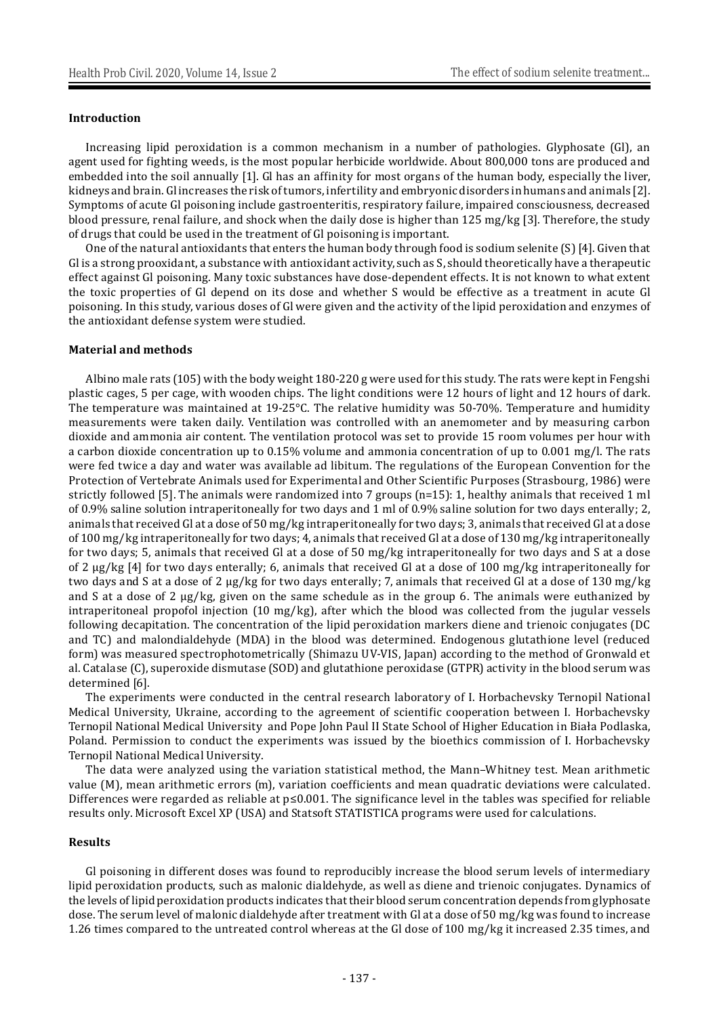#### **Introduction**

Increasing lipid peroxidation is a common mechanism in a number of pathologies. Glyphosate (Gl), an agent used for fighting weeds, is the most popular herbicide worldwide. About 800,000 tons are produced and embedded into the soil annually [1]. Gl has an affinity for most organs of the human body, especially the liver, kidneys and brain. Gl increases the risk of tumors, infertility and embryonic disorders in humans and animals [2]. Symptoms of acute Gl poisoning include gastroenteritis, respiratory failure, impaired consciousness, decreased blood pressure, renal failure, and shock when the daily dose is higher than 125 mg/kg [3]. Therefore, the study of drugs that could be used in the treatment of Gl poisoning is important.

One of the natural antioxidants that enters the human body through food is sodium selenite (S) [4]. Given that Gl is a strong prooxidant, a substance with antioxidant activity, such as S, should theoretically have a therapeutic effect against Gl poisoning. Many toxic substances have dose-dependent effects. It is not known to what extent the toxic properties of Gl depend on its dose and whether S would be effective as a treatment in acute Gl poisoning. In this study, various doses of Gl were given and the activity of the lipid peroxidation and enzymes of the antioxidant defense system were studied.

#### **Material and methods**

Albino male rats (105) with the body weight 180-220 g were used for this study. The rats were kept in Fengshi plastic cages, 5 per cage, with wooden chips. The light conditions were 12 hours of light and 12 hours of dark. The temperature was maintained at 19-25°C. The relative humidity was 50-70%. Temperature and humidity measurements were taken daily. Ventilation was controlled with an anemometer and by measuring carbon dioxide and ammonia air content. The ventilation protocol was set to provide 15 room volumes per hour with a carbon dioxide concentration up to 0.15% volume and ammonia concentration of up to 0.001 mg/l. The rats were fed twice a day and water was available ad libitum. The regulations of the European Convention for the Protection of Vertebrate Animals used for Experimental and Other Scientific Purposes (Strasbourg, 1986) were strictly followed [5]. The animals were randomized into 7 groups (n=15): 1, healthy animals that received 1 ml of 0.9% saline solution intraperitoneally for two days and 1 ml of 0.9% saline solution for two days enterally; 2, animals that received Gl at a dose of 50 mg/kg intraperitoneally for two days; 3, animals that received Gl at a dose of 100 mg/kg intraperitoneally for two days; 4, animals that received Gl at a dose of 130 mg/kg intraperitoneally for two days; 5, animals that received Gl at a dose of 50 mg/kg intraperitoneally for two days and S at a dose of 2 μg/kg [4] for two days enterally; 6, animals that received Gl at a dose of 100 mg/kg intraperitoneally for two days and S at a dose of 2 μg/kg for two days enterally; 7, animals that received Gl at a dose of 130 mg/kg and S at a dose of 2 μg/kg, given on the same schedule as in the group 6. The animals were euthanized by intraperitoneal propofol injection (10 mg/kg), after which the blood was collected from the jugular vessels following decapitation. The concentration of the lipid peroxidation markers diene and trienoic conjugates (DC and TC) and malondialdehyde (MDA) in the blood was determined. Endogenous glutathione level (reduced form) was measured spectrophotometrically (Shimazu UV-VIS, Japan) according to the method of Gronwald et al. Catalase (C), superoxide dismutase (SOD) and glutathione peroxidase (GTPR) activity in the blood serum was determined [6].

The experiments were conducted in the central research laboratory of I. Horbachevsky Ternopil National Medical University, Ukraine, according to the agreement of scientific cooperation between I. Horbachevsky Ternopil National Medical University and Pope John Paul II State School of Higher Education in Biała Podlaska, Poland. Permission to conduct the experiments was issued by the bioethics commission of I. Horbachevsky Ternopil National Medical University.

The data were analyzed using the variation statistical method, the Mann–Whitney test. Mean arithmetic value (M), mean arithmetic errors (m), variation coefficients and mean quadratic deviations were calculated. Differences were regarded as reliable at p≤0.001. The significance level in the tables was specified for reliable results only. Microsoft Excel ХР (USA) and Statsoft STATISTICA programs were used for calculations.

#### **Results**

Gl poisoning in different doses was found to reproducibly increase the blood serum levels of intermediary lipid peroxidation products, such as malonic dialdehyde, as well as diene and trienoic conjugates. Dynamics of the levels of lipid peroxidation products indicates that their blood serum concentration depends from glyphosate dose. The serum level of malonic dialdehyde after treatment with Gl at a dose of 50 mg/kg was found to increase 1.26 times compared to the untreated control whereas at the Gl dose of 100 mg/kg it increased 2.35 times, and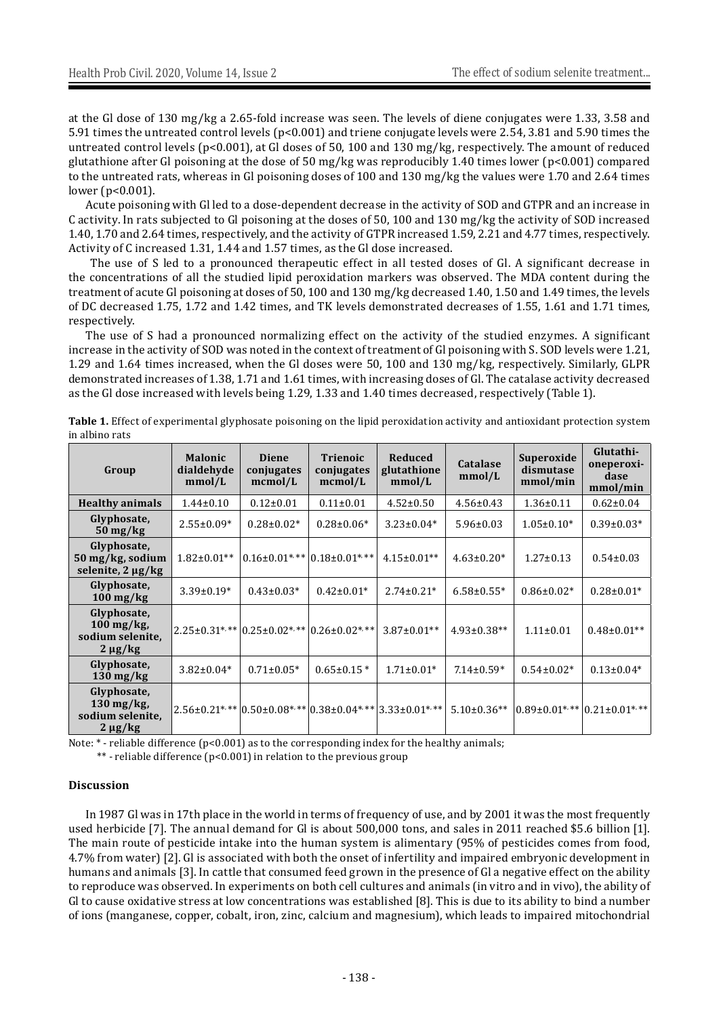at the Gl dose of 130 mg/kg a 2.65-fold increase was seen. The levels of diene conjugates were 1.33, 3.58 and 5.91 times the untreated control levels (p<0.001) and triene conjugate levels were 2.54, 3.81 and 5.90 times the untreated control levels (p<0.001), at Gl doses of 50, 100 and 130 mg/kg, respectively. The amount of reduced glutathione after Gl poisoning at the dose of 50 mg/kg was reproducibly 1.40 times lower (p<0.001) compared to the untreated rats, whereas in Gl poisoning doses of 100 and 130 mg/kg the values were 1.70 and 2.64 times lower (p<0.001).

Acute poisoning with Gl led to a dose-dependent decrease in the activity of SOD and GTPR and an increase in C activity. In rats subjected to Gl poisoning at the doses of 50, 100 and 130 mg/kg the activity of SOD increased 1.40, 1.70 and 2.64 times, respectively, and the activity of GTPR increased 1.59, 2.21 and 4.77 times, respectively. Activity of C increased 1.31, 1.44 and 1.57 times, as the Gl dose increased.

 The use of S led to a pronounced therapeutic effect in all tested doses of Gl. A significant decrease in the concentrations of all the studied lipid peroxidation markers was observed. The MDA content during the treatment of acute Gl poisoning at doses of 50, 100 and 130 mg/kg decreased 1.40, 1.50 and 1.49 times, the levels of DC decreased 1.75, 1.72 and 1.42 times, and TK levels demonstrated decreases of 1.55, 1.61 and 1.71 times, respectively.

The use of S had a pronounced normalizing effect on the activity of the studied enzymes. A significant increase in the activity of SOD was noted in the context of treatment of Gl poisoning with S. SOD levels were 1.21, 1.29 and 1.64 times increased, when the Gl doses were 50, 100 and 130 mg/kg, respectively. Similarly, GLPR demonstrated increases of 1.38, 1.71 and 1.61 times, with increasing doses of Gl. The catalase activity decreased as the Gl dose increased with levels being 1.29, 1.33 and 1.40 times decreased, respectively (Table 1).

| Group                                                                       | <b>Malonic</b><br>dialdehyde<br>mmol/L | <b>Diene</b><br>conjugates<br>mcmol/L | <b>Trienoic</b><br>conjugates<br>mcmol/L                                                | <b>Reduced</b><br>glutathione<br>mmol/L | <b>Catalase</b><br>mmol/L | Superoxide<br>dismutase<br>mmol/min | Glutathi-<br>oneperoxi-<br>dase<br>mmol/min |
|-----------------------------------------------------------------------------|----------------------------------------|---------------------------------------|-----------------------------------------------------------------------------------------|-----------------------------------------|---------------------------|-------------------------------------|---------------------------------------------|
| <b>Healthy animals</b>                                                      | $1.44 \pm 0.10$                        | $0.12 \pm 0.01$                       | $0.11 \pm 0.01$                                                                         | $4.52 \pm 0.50$                         | $4.56 \pm 0.43$           | $1.36 \pm 0.11$                     | $0.62 \pm 0.04$                             |
| Glyphosate,<br>$50 \,\mathrm{mg/kg}$                                        | $2.55 \pm 0.09*$                       | $0.28 \pm 0.02*$                      | $0.28 \pm 0.06*$                                                                        | $3.23 \pm 0.04*$                        | $5.96 \pm 0.03$           | $1.05 \pm 0.10*$                    | $0.39 \pm 0.03*$                            |
| Glyphosate,<br>50 mg/kg, sodium<br>selenite, $2 \mu g/kg$                   | $1.82 \pm 0.01**$                      | $0.16\pm0.01$ *,**                    | $0.18\pm0.01$ <sup>*</sup>                                                              | $4.15 \pm 0.01**$                       | $4.63 \pm 0.20*$          | $1.27 \pm 0.13$                     | $0.54 \pm 0.03$                             |
| Glyphosate,<br>$100 \,\mathrm{mg/kg}$                                       | $3.39 \pm 0.19*$                       | $0.43 \pm 0.03*$                      | $0.42 \pm 0.01*$                                                                        | $2.74 \pm 0.21*$                        | $6.58 \pm 0.55*$          | $0.86 \pm 0.02*$                    | $0.28 \pm 0.01*$                            |
| Glyphosate,<br>$100 \,\mathrm{mg/kg}$<br>sodium selenite,<br>$2 \mu g/kg$   |                                        |                                       | $2.25\pm0.31^{*,**}$ 0.25 $\pm$ 0.02 <sup>*</sup> , ** 0.26 $\pm$ 0.02 <sup>*, **</sup> | $3.87 \pm 0.01**$                       | $4.93 \pm 0.38**$         | $1.11 \pm 0.01$                     | $0.48\pm0.01**$                             |
| Glyphosate,<br>$130 \,\mathrm{mg/kg}$                                       | $3.82 \pm 0.04*$                       | $0.71 \pm 0.05*$                      | $0.65 \pm 0.15$ *                                                                       | $1.71 \pm 0.01*$                        | $7.14 \pm 0.59*$          | $0.54 \pm 0.02*$                    | $0.13 \pm 0.04*$                            |
| Glyphosate,<br>$130 \,\mathrm{mg/kg}$ ,<br>sodium selenite,<br>$2 \mu g/kg$ |                                        |                                       | $2.56\pm0.21$ *** $ 0.50\pm0.08$ *** $ 0.38\pm0.04$ ***                                 | $3.33 \pm 0.01$ *,**                    | $5.10\pm0.36**$           |                                     | $0.89\pm0.01$ *,** $ 0.21\pm0.01$ *,**      |

**Table 1.** Effect of experimental glyphosate poisoning on the lipid peroxidation activity and antioxidant protection system in albino rats

Note: \* - reliable difference (p<0.001) as to the corresponding index for the healthy animals;

\*\* - reliable difference (p<0.001) in relation to the previous group

#### **Discussion**

In 1987 Gl was in 17th place in the world in terms of frequency of use, and by 2001 it was the most frequently used herbicide [7]. The annual demand for Gl is about 500,000 tons, and sales in 2011 reached \$5.6 billion [1]. The main route of pesticide intake into the human system is alimentary (95% of pesticides comes from food, 4.7% from water) [2]. Gl is associated with both the onset of infertility and impaired embryonic development in humans and animals [3]. In cattle that consumed feed grown in the presence of Gl a negative effect on the ability to reproduce was observed. In experiments on both cell cultures and animals (in vitro and in vivo), the ability of Gl to cause oxidative stress at low concentrations was established [8]. This is due to its ability to bind a number of ions (manganese, copper, cobalt, iron, zinc, calcium and magnesium), which leads to impaired mitochondrial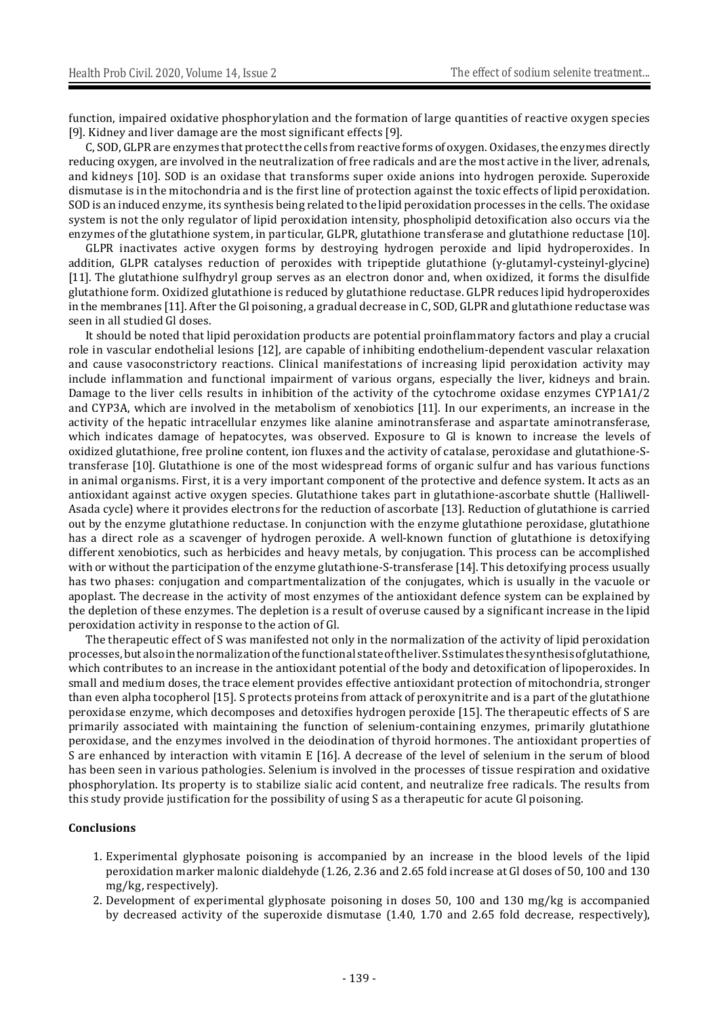function, impaired oxidative phosphorylation and the formation of large quantities of reactive oxygen species [9]. Kidney and liver damage are the most significant effects [9].

C, SOD, GLPR are enzymes that protect the cells from reactive forms of oxygen. Oxidases, the enzymes directly reducing oxygen, are involved in the neutralization of free radicals and are the most active in the liver, adrenals, and kidneys [10]. SOD is an oxidase that transforms super oxide anions into hydrogen peroxide. Superoxide dismutase is in the mitochondria and is the first line of protection against the toxic effects of lipid peroxidation. SOD is an induced enzyme, its synthesis being related to the lipid peroxidation processes in the cells. The oxidase system is not the only regulator of lipid peroxidation intensity, phospholipid detoxification also occurs via the enzymes of the glutathione system, in particular, GLPR, glutathione transferase and glutathione reductase [10].

GLPR inactivates active oxygen forms by destroying hydrogen peroxide and lipid hydroperoxides. In addition, GLPR catalyses reduction of peroxides with tripeptide glutathione (γ-glutamyl-cysteinyl-glycine) [11]. The glutathione sulfhydryl group serves as an electron donor and, when oxidized, it forms the disulfide glutathione form. Oxidized glutathione is reduced by glutathione reductase. GLPR reduces lipid hydroperoxides in the membranes [11]. After the Gl poisoning, a gradual decrease in C, SOD, GLPR and glutathione reductase was seen in all studied Gl doses.

It should be noted that lipid peroxidation products are potential proinflammatory factors and play a crucial role in vascular endothelial lesions [12], are capable of inhibiting endothelium-dependent vascular relaxation and cause vasoconstrictory reactions. Clinical manifestations of increasing lipid peroxidation activity may include inflammation and functional impairment of various organs, especially the liver, kidneys and brain. Damage to the liver cells results in inhibition of the activity of the cytochrome oxidase enzymes CYP1A1/2 and CYP3A, which are involved in the metabolism of xenobiotics [11]. In our experiments, an increase in the activity of the hepatic intracellular enzymes like alanine aminotransferase and aspartate aminotransferase, which indicates damage of hepatocytes, was observed. Exposure to Gl is known to increase the levels of oxidized glutathione, free proline content, ion fluxes and the activity of catalase, peroxidase and glutathione-Stransferase [10]. Glutathione is one of the most widespread forms of organic sulfur and has various functions in animal organisms. First, it is a very important component of the protective and defence system. It acts as an antioxidant against active oxygen species. Glutathione takes part in glutathione-ascorbate shuttle (Halliwell-Asada cycle) where it provides electrons for the reduction of ascorbate [13]. Reduction of glutathione is carried out by the enzyme glutathione reductase. In conjunction with the enzyme glutathione peroxidase, glutathione has a direct role as a scavenger of hydrogen peroxide. A well-known function of glutathione is detoxifying different xenobiotics, such as herbicides and heavy metals, by conjugation. This process can be accomplished with or without the participation of the enzyme glutathione-S-transferase [14]. This detoxifying process usually has two phases: conjugation and compartmentalization of the conjugates, which is usually in the vacuole or apoplast. The decrease in the activity of most enzymes of the antioxidant defence system can be explained by the depletion of these enzymes. The depletion is a result of overuse caused by a significant increase in the lipid peroxidation activity in response to the action of Gl.

The therapeutic effect of S was manifested not only in the normalization of the activity of lipid peroxidation processes, but also in the normalization of the functional state of the liver. S stimulates the synthesis of glutathione, which contributes to an increase in the antioxidant potential of the body and detoxification of lipoperoxides. In small and medium doses, the trace element provides effective antioxidant protection of mitochondria, stronger than even alpha tocopherol [15]. S protects proteins from attack of peroxynitrite and is a part of the glutathione peroxidase enzyme, which decomposes and detoxifies hydrogen peroxide [15]. The therapeutic effects of S are primarily associated with maintaining the function of selenium-containing enzymes, primarily glutathione peroxidase, and the enzymes involved in the deiodination of thyroid hormones. The antioxidant properties of S are enhanced by interaction with vitamin E [16]. A decrease of the level of selenium in the serum of blood has been seen in various pathologies. Selenium is involved in the processes of tissue respiration and oxidative phosphorylation. Its property is to stabilize sialic acid content, and neutralize free radicals. The results from this study provide justification for the possibility of using S as a therapeutic for acute Gl poisoning.

#### **Conclusions**

- 1. Experimental glyphosate poisoning is accompanied by an increase in the blood levels of the lipid peroxidation marker malonic dialdehyde (1.26, 2.36 and 2.65 fold increase at Gl doses of 50, 100 and 130 mg/kg, respectively).
- 2. Development of experimental glyphosate poisoning in doses 50, 100 and 130 mg/kg is accompanied by decreased activity of the superoxide dismutase (1.40, 1.70 and 2.65 fold decrease, respectively),